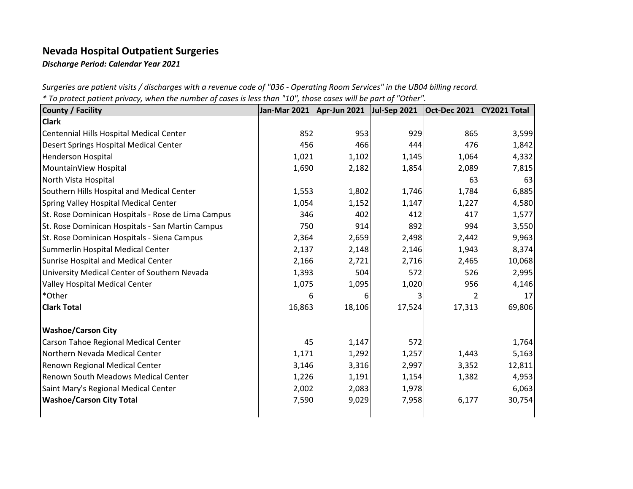## **Nevada Hospital Outpatient Surgeries**

*Discharge Period: Calendar Year 2021*

*Surgeries are patient visits / discharges with a revenue code of "036 - Operating Room Services" in the UB04 billing record.*

*\* To protect patient privacy, when the number of cases is less than "10", those cases will be part of "Other".*

| <b>County / Facility</b>                           | <b>Jan-Mar 2021</b> | Apr-Jun 2021 | <b>Jul-Sep 2021</b> | <b>Oct-Dec 2021</b> | CY2021 Total |
|----------------------------------------------------|---------------------|--------------|---------------------|---------------------|--------------|
| <b>Clark</b>                                       |                     |              |                     |                     |              |
| Centennial Hills Hospital Medical Center           | 852                 | 953          | 929                 | 865                 | 3,599        |
| Desert Springs Hospital Medical Center             | 456                 | 466          | 444                 | 476                 | 1,842        |
| <b>Henderson Hospital</b>                          | 1,021               | 1,102        | 1,145               | 1,064               | 4,332        |
| MountainView Hospital                              | 1,690               | 2,182        | 1,854               | 2,089               | 7,815        |
| North Vista Hospital                               |                     |              |                     | 63                  | 63           |
| Southern Hills Hospital and Medical Center         | 1,553               | 1,802        | 1,746               | 1,784               | 6,885        |
| Spring Valley Hospital Medical Center              | 1,054               | 1,152        | 1,147               | 1,227               | 4,580        |
| St. Rose Dominican Hospitals - Rose de Lima Campus | 346                 | 402          | 412                 | 417                 | 1,577        |
| St. Rose Dominican Hospitals - San Martin Campus   | 750                 | 914          | 892                 | 994                 | 3,550        |
| St. Rose Dominican Hospitals - Siena Campus        | 2,364               | 2,659        | 2,498               | 2,442               | 9,963        |
| Summerlin Hospital Medical Center                  | 2,137               | 2,148        | 2,146               | 1,943               | 8,374        |
| Sunrise Hospital and Medical Center                | 2,166               | 2,721        | 2,716               | 2,465               | 10,068       |
| University Medical Center of Southern Nevada       | 1,393               | 504          | 572                 | 526                 | 2,995        |
| <b>Valley Hospital Medical Center</b>              | 1,075               | 1,095        | 1,020               | 956                 | 4,146        |
| *Other                                             | 6                   | 6            | 3                   |                     | 17           |
| <b>Clark Total</b>                                 | 16,863              | 18,106       | 17,524              | 17,313              | 69,806       |
| <b>Washoe/Carson City</b>                          |                     |              |                     |                     |              |
| Carson Tahoe Regional Medical Center               | 45                  | 1,147        | 572                 |                     | 1,764        |
| Northern Nevada Medical Center                     | 1,171               | 1,292        | 1,257               | 1,443               | 5,163        |
| Renown Regional Medical Center                     | 3,146               | 3,316        | 2,997               | 3,352               | 12,811       |
| <b>Renown South Meadows Medical Center</b>         | 1,226               | 1,191        | 1,154               | 1,382               | 4,953        |
| Saint Mary's Regional Medical Center               | 2,002               | 2,083        | 1,978               |                     | 6,063        |
| <b>Washoe/Carson City Total</b>                    | 7,590               | 9,029        | 7,958               | 6,177               | 30,754       |